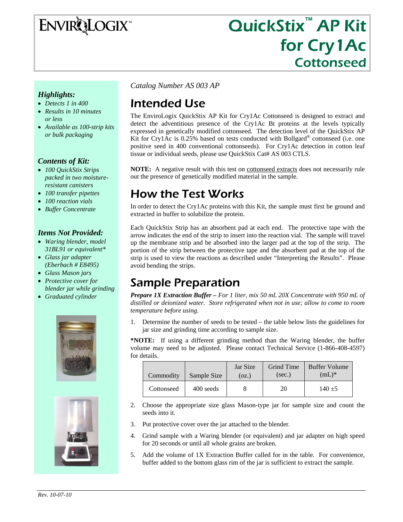ENVIRQLOGIX

# QuickStix<sup>™</sup> AP Kit for Cry1Ac Cottonseed

#### *Highlights:*

- *Detects 1 in 400*
- *Results in 10 minutes or less*
- *Available as 100-strip kits or bulk packaging*

#### *Contents of Kit:*

- *100 QuickStix Strips packed in two moistureresistant canisters*
- *100 transfer pipettes*
- *100 reaction vials*
- *Buffer Concentrate*

#### *Items Not Provided:*

- *Waring blender, model 31BL91 or equivalent\**
- *Glass jar adapter (Eberbach # E8495)*
- *Glass Mason jars*
- *Protective cover for blender jar while grinding*
- *Graduated cylinder*





*Catalog Number AS 003 AP* 

# Intended Use

The EnviroLogix QuickStix AP Kit for Cry1Ac Cottonseed is designed to extract and detect the adventitious presence of the Cry1Ac Bt proteins at the levels typically expressed in genetically modified cottonseed. The detection level of the QuickStix AP Kit for Cry1Ac is 0.25% based on tests conducted with Bollgard<sup>®</sup> cottonseed (i.e. one positive seed in 400 conventional cottonseeds). For Cry1Ac detection in cotton leaf tissue or individual seeds, please use QuickStix Cat# AS 003 CTLS.

**NOTE:** A negative result with this test on **cottonseed** extracts does not necessarily rule out the presence of genetically modified material in the sample.

## How the Test Works

In order to detect the Cry1Ac proteins with this Kit, the sample must first be ground and extracted in buffer to solubilize the protein.

Each QuickStix Strip has an absorbent pad at each end. The protective tape with the arrow indicates the end of the strip to insert into the reaction vial. The sample will travel up the membrane strip and be absorbed into the larger pad at the top of the strip. The portion of the strip between the protective tape and the absorbent pad at the top of the strip is used to view the reactions as described under "Interpreting the Results". Please avoid bending the strips.

### Sample Preparation

*Prepare 1X Extraction Buffer – For 1 liter, mix 50 mL 20X Concentrate with 950 mL of distilled or deionized water. Store refrigerated when not in use; allow to come to room temperature before using.*

1. Determine the number of seeds to be tested – the table below lists the guidelines for jar size and grinding time according to sample size.

**\*NOTE:** If using a different grinding method than the Waring blender, the buffer volume may need to be adjusted. Please contact Technical Service (1-866-408-4597) for details.

| Commodity  | Sample Size | Jar Size<br>(oz.) | Grind Time<br>(sec.) | <b>Buffer Volume</b><br>$(mL)^*$ |
|------------|-------------|-------------------|----------------------|----------------------------------|
| Cottonseed | 400 seeds   |                   | 20                   | $140 + 5$                        |

- 2. Choose the appropriate size glass Mason-type jar for sample size and count the seeds into it.
- 3. Put protective cover over the jar attached to the blender.
- 4. Grind sample with a Waring blender (or equivalent) and jar adapter on high speed for 20 seconds or until all whole grains are broken.
- 5. Add the volume of 1X Extraction Buffer called for in the table. For convenience, buffer added to the bottom glass rim of the jar is sufficient to extract the sample.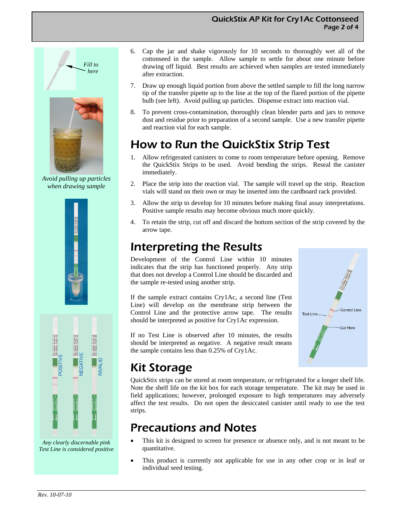#### QuickStix AP Kit for Cry1Ac Cottonseed Page 2 of 4



*Avoid pulling up particles when drawing sample* 



*Any clearly discernable pink Test Line is considered positive* 

- 6. Cap the jar and shake vigorously for 10 seconds to thoroughly wet all of the cottonseed in the sample. Allow sample to settle for about one minute before drawing off liquid. Best results are achieved when samples are tested immediately after extraction.
- 7. Draw up enough liquid portion from above the settled sample to fill the long narrow tip of the transfer pipette up to the line at the top of the flared portion of the pipette bulb (see left). Avoid pulling up particles. Dispense extract into reaction vial.
- 8. To prevent cross-contamination, thoroughly clean blender parts and jars to remove dust and residue prior to preparation of a second sample. Use a new transfer pipette and reaction vial for each sample.

# How to Run the QuickStix Strip Test

- 1. Allow refrigerated canisters to come to room temperature before opening. Remove the QuickStix Strips to be used. Avoid bending the strips. Reseal the canister immediately.
- 2. Place the strip into the reaction vial. The sample will travel up the strip. Reaction vials will stand on their own or may be inserted into the cardboard rack provided.
- 3. Allow the strip to develop for 10 minutes before making final assay interpretations. Positive sample results may become obvious much more quickly.
- 4. To retain the strip, cut off and discard the bottom section of the strip covered by the arrow tape.

# Interpreting the Results

Development of the Control Line within 10 minutes indicates that the strip has functioned properly. Any strip that does not develop a Control Line should be discarded and the sample re-tested using another strip.

If the sample extract contains Cry1Ac, a second line (Test Line) will develop on the membrane strip between the Control Line and the protective arrow tape. The results should be interpreted as positive for Cry1Ac expression.

If no Test Line is observed after 10 minutes, the results should be interpreted as negative. A negative result means the sample contains less than 0.25% of Cry1Ac.



# Kit Storage

QuickStix strips can be stored at room temperature, or refrigerated for a longer shelf life. Note the shelf life on the kit box for each storage temperature. The kit may be used in field applications; however, prolonged exposure to high temperatures may adversely affect the test results. Do not open the desiccated canister until ready to use the test strips.

### Precautions and Notes

- This kit is designed to screen for presence or absence only, and is not meant to be quantitative.
- This product is currently not applicable for use in any other crop or in leaf or individual seed testing.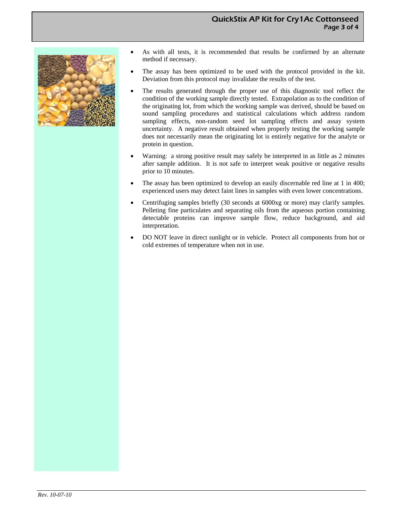

- As with all tests, it is recommended that results be confirmed by an alternate method if necessary.
- The assay has been optimized to be used with the protocol provided in the kit. Deviation from this protocol may invalidate the results of the test.
- The results generated through the proper use of this diagnostic tool reflect the condition of the working sample directly tested. Extrapolation as to the condition of the originating lot, from which the working sample was derived, should be based on sound sampling procedures and statistical calculations which address random sampling effects, non-random seed lot sampling effects and assay system uncertainty. A negative result obtained when properly testing the working sample does not necessarily mean the originating lot is entirely negative for the analyte or protein in question.
- Warning: a strong positive result may safely be interpreted in as little as 2 minutes after sample addition. It is not safe to interpret weak positive or negative results prior to 10 minutes.
- The assay has been optimized to develop an easily discernable red line at 1 in 400; experienced users may detect faint lines in samples with even lower concentrations.
- Centrifuging samples briefly (30 seconds at 6000xg or more) may clarify samples. Pelleting fine particulates and separating oils from the aqueous portion containing detectable proteins can improve sample flow, reduce background, and aid interpretation.
- DO NOT leave in direct sunlight or in vehicle. Protect all components from hot or cold extremes of temperature when not in use.